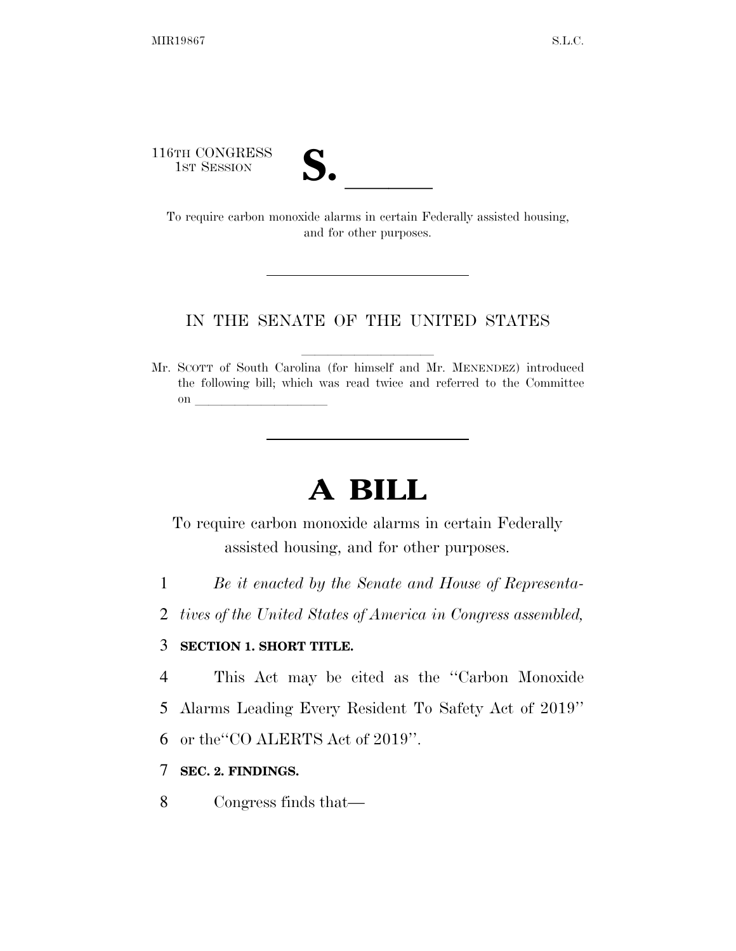116TH CONGRESS

| v.<br>ı |  |
|---------|--|

6TH CONGRESS<br>1st Session<br>To require carbon monoxide alarms in certain Federally assisted housing, and for other purposes.

## IN THE SENATE OF THE UNITED STATES

Mr. SCOTT of South Carolina (for himself and Mr. MENENDEZ) introduced the following bill; which was read twice and referred to the Committee on  $\overline{\qquad \qquad }$ 

# **A BILL**

To require carbon monoxide alarms in certain Federally assisted housing, and for other purposes.

- 1 *Be it enacted by the Senate and House of Representa-*
- 2 *tives of the United States of America in Congress assembled,*

## 3 **SECTION 1. SHORT TITLE.**

- 4 This Act may be cited as the ''Carbon Monoxide 5 Alarms Leading Every Resident To Safety Act of 2019''
- 6 or the''CO ALERTS Act of 2019''.

## 7 **SEC. 2. FINDINGS.**

8 Congress finds that—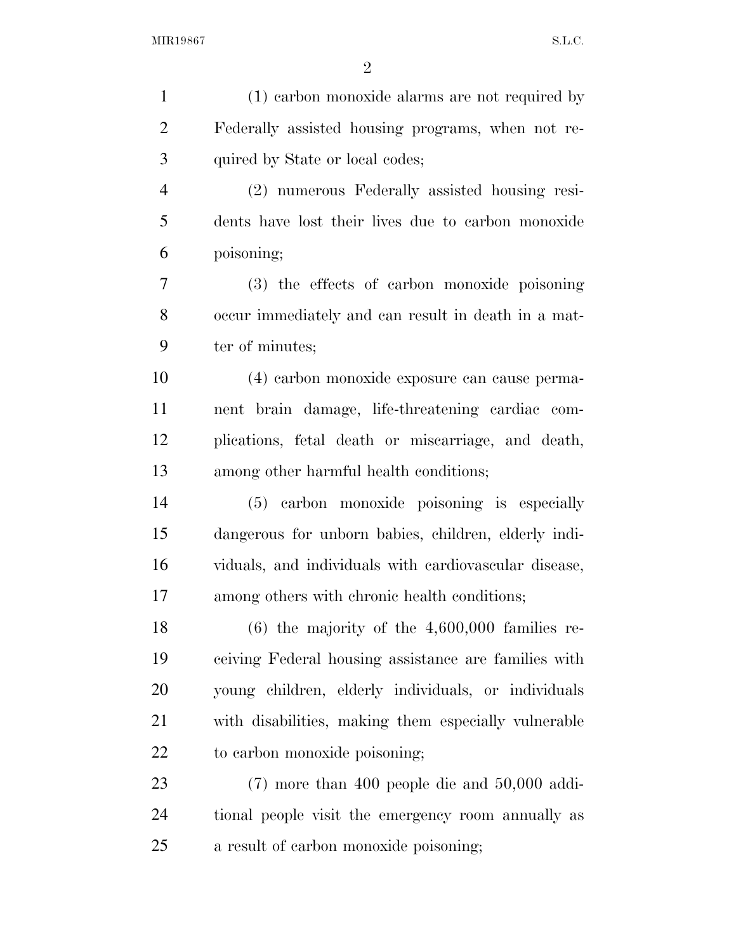| $\mathbf{1}$   | (1) earbon monoxide alarms are not required by        |
|----------------|-------------------------------------------------------|
| $\overline{2}$ | Federally assisted housing programs, when not re-     |
| 3              | quired by State or local codes;                       |
| $\overline{4}$ | (2) numerous Federally assisted housing resi-         |
| 5              | dents have lost their lives due to carbon monoxide    |
| 6              | poisoning;                                            |
| 7              | (3) the effects of carbon monoxide poisoning          |
| 8              | occur immediately and can result in death in a mat-   |
| 9              | ter of minutes;                                       |
| 10             | (4) carbon monoxide exposure can cause perma-         |
| 11             | nent brain damage, life-threatening cardiac com-      |
| 12             | plications, fetal death or miscarriage, and death,    |
| 13             | among other harmful health conditions;                |
| 14             | (5) carbon monoxide poisoning is especially           |
| 15             | dangerous for unborn babies, children, elderly indi-  |
| 16             | viduals, and individuals with cardiovascular disease, |
| 17             | among others with chronic health conditions;          |
| 18             | $(6)$ the majority of the 4,600,000 families re-      |
| 19             | ceiving Federal housing assistance are families with  |
| 20             | young children, elderly individuals, or individuals   |
| 21             | with disabilities, making them especially vulnerable  |
| 22             | to carbon monoxide poisoning;                         |
| 23             | $(7)$ more than 400 people die and 50,000 addi-       |
| 24             | tional people visit the emergency room annually as    |
| 25             | a result of carbon monoxide poisoning;                |
|                |                                                       |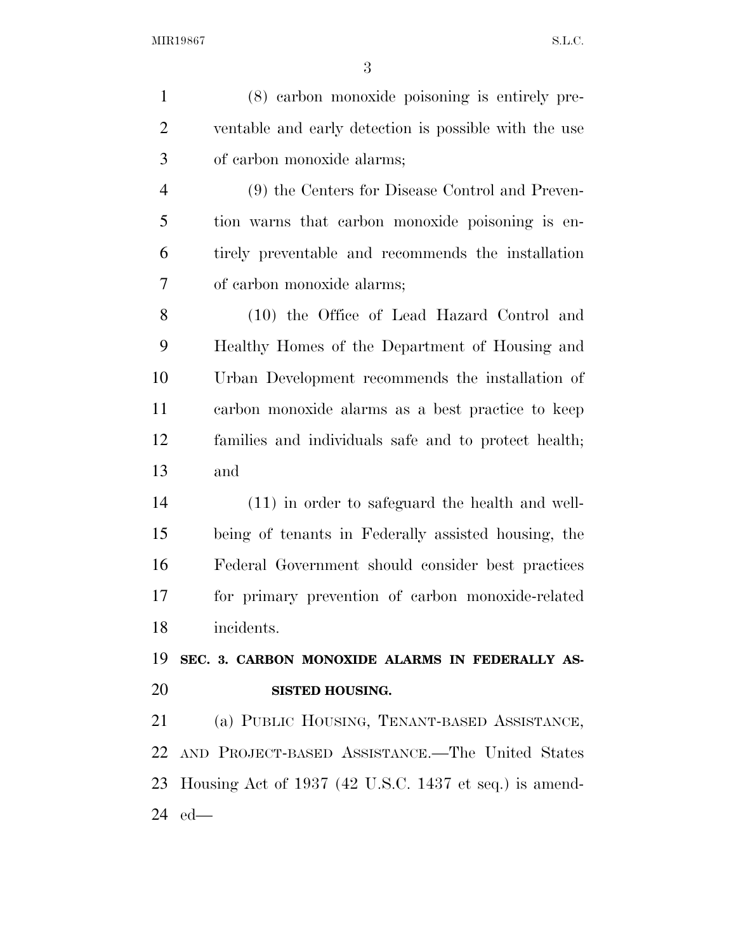| $\mathbf{1}$   | (8) earbon monoxide poisoning is entirely pre-         |
|----------------|--------------------------------------------------------|
| $\overline{2}$ | ventable and early detection is possible with the use  |
| 3              | of carbon monoxide alarms;                             |
| $\overline{4}$ | (9) the Centers for Disease Control and Preven-        |
| 5              | tion warns that carbon monoxide poisoning is en-       |
| 6              | tirely preventable and recommends the installation     |
| 7              | of carbon monoxide alarms;                             |
| 8              | (10) the Office of Lead Hazard Control and             |
| 9              | Healthy Homes of the Department of Housing and         |
| 10             | Urban Development recommends the installation of       |
| 11             | carbon monoxide alarms as a best practice to keep      |
| 12             | families and individuals safe and to protect health;   |
| 13             | and                                                    |
| 14             | $(11)$ in order to safeguard the health and well-      |
| 15             | being of tenants in Federally assisted housing, the    |
| 16             | Federal Government should consider best practices      |
| 17             | for primary prevention of carbon monoxide-related      |
| 18             | incidents.                                             |
| 19             | SEC. 3. CARBON MONOXIDE ALARMS IN FEDERALLY AS-        |
| 20             | <b>SISTED HOUSING.</b>                                 |
| 21             | (a) PUBLIC HOUSING, TENANT-BASED ASSISTANCE,           |
| 22             | AND PROJECT-BASED ASSISTANCE.—The United States        |
| 23             | Housing Act of 1937 (42 U.S.C. 1437 et seq.) is amend- |
| 24             | $ed$ —                                                 |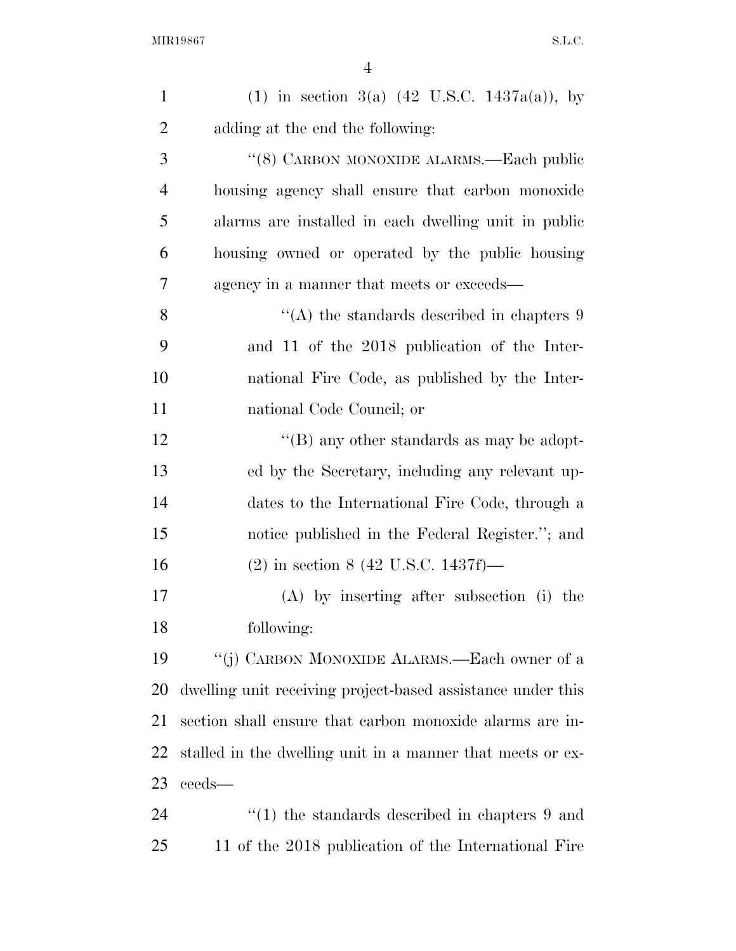| $\mathbf{1}$   | (1) in section 3(a) $(42 \text{ U.S.C. } 1437a(a))$ , by    |
|----------------|-------------------------------------------------------------|
| $\overline{2}$ | adding at the end the following:                            |
| 3              | "(8) CARBON MONOXIDE ALARMS.—Each public                    |
| $\overline{4}$ | housing agency shall ensure that carbon monoxide            |
| 5              | alarms are installed in each dwelling unit in public        |
| 6              | housing owned or operated by the public housing             |
| 7              | agency in a manner that meets or exceeds—                   |
| 8              | "(A) the standards described in chapters $9$                |
| 9              | and 11 of the 2018 publication of the Inter-                |
| 10             | national Fire Code, as published by the Inter-              |
| 11             | national Code Council; or                                   |
| 12             | "(B) any other standards as may be adopt-                   |
| 13             | ed by the Secretary, including any relevant up-             |
| 14             | dates to the International Fire Code, through a             |
| 15             | notice published in the Federal Register."; and             |
| 16             | $(2)$ in section 8 (42 U.S.C. 1437f)—                       |
| 17             | (A) by inserting after subsection (i) the                   |
| 18             | following:                                                  |
| 19             | "(j) CARBON MONOXIDE ALARMS.—Each owner of a                |
| 20             | dwelling unit receiving project-based assistance under this |
| 21             | section shall ensure that carbon monoxide alarms are in-    |
| 22             | stalled in the dwelling unit in a manner that meets or ex-  |
| 23             | ceeds—                                                      |
| 24             | $\cdot$ (1) the standards described in chapters 9 and       |
| 25             | 11 of the 2018 publication of the International Fire        |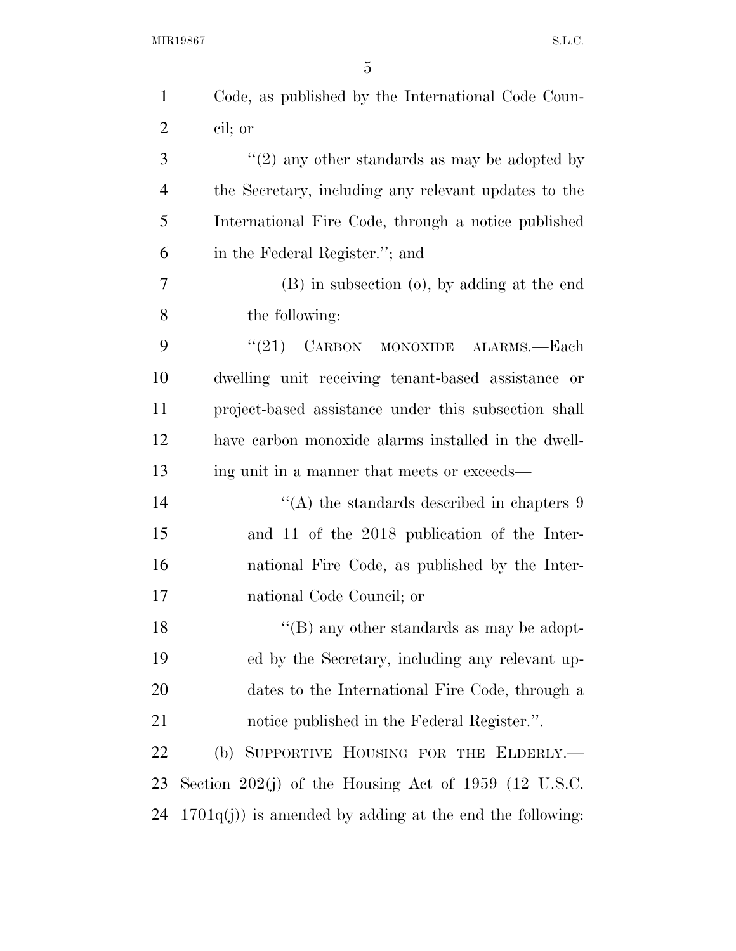| $\mathbf{1}$   | Code, as published by the International Code Coun-        |
|----------------|-----------------------------------------------------------|
| $\overline{2}$ | cil; or                                                   |
| 3              | "(2) any other standards as may be adopted by             |
| $\overline{4}$ | the Secretary, including any relevant updates to the      |
| 5              | International Fire Code, through a notice published       |
| 6              | in the Federal Register."; and                            |
| $\overline{7}$ | (B) in subsection (o), by adding at the end               |
| 8              | the following:                                            |
| 9              | (21)<br>CARBON<br>MONOXIDE ALARMS.—Each                   |
| 10             | dwelling unit receiving tenant-based assistance or        |
| 11             | project-based assistance under this subsection shall      |
| 12             | have carbon monoxide alarms installed in the dwell-       |
| 13             | ing unit in a manner that meets or exceeds—               |
| 14             | $\cdot$ (A) the standards described in chapters 9         |
| 15             | and 11 of the 2018 publication of the Inter-              |
| 16             | national Fire Code, as published by the Inter-            |
| 17             | national Code Council; or                                 |
| 18             | $\lq\lq$ (B) any other standards as may be adopt-         |
| 19             | ed by the Secretary, including any relevant up-           |
| 20             | dates to the International Fire Code, through a           |
| 21             | notice published in the Federal Register.".               |
| 22             | (b) SUPPORTIVE HOUSING FOR THE ELDERLY.-                  |
| 23             | Section 202(j) of the Housing Act of 1959 (12 U.S.C.      |
| 24             | $1701q(j)$ is amended by adding at the end the following: |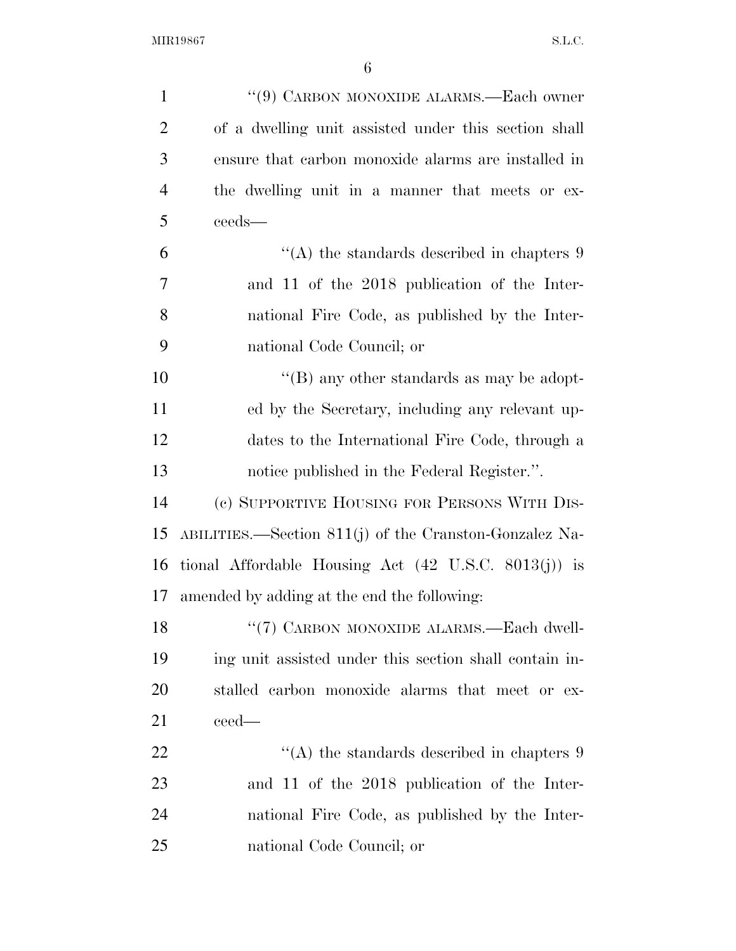| $\mathbf{1}$   | $``(9)$ CARBON MONOXIDE ALARMS.—Each owner                      |
|----------------|-----------------------------------------------------------------|
| $\overline{2}$ | of a dwelling unit assisted under this section shall            |
| 3              | ensure that carbon monoxide alarms are installed in             |
| $\overline{4}$ | the dwelling unit in a manner that meets or ex-                 |
| 5              | ceeds-                                                          |
| 6              | "(A) the standards described in chapters $9$                    |
| 7              | and 11 of the 2018 publication of the Inter-                    |
| 8              | national Fire Code, as published by the Inter-                  |
| 9              | national Code Council; or                                       |
| 10             | $\lq\lq (B)$ any other standards as may be adopt-               |
| 11             | ed by the Secretary, including any relevant up-                 |
| 12             | dates to the International Fire Code, through a                 |
| 13             | notice published in the Federal Register.".                     |
| 14             | (c) SUPPORTIVE HOUSING FOR PERSONS WITH DIS-                    |
| 15             | ABILITIES.—Section $811(j)$ of the Cranston-Gonzalez Na-        |
| 16             | tional Affordable Housing Act $(42 \text{ U.S.C. } 8013(j))$ is |
| 17             | amended by adding at the end the following:                     |
| 18             | "(7) CARBON MONOXIDE ALARMS.—Each dwell-                        |
| 19             | ing unit assisted under this section shall contain in-          |
| 20             | stalled carbon monoxide alarms that meet or ex-                 |
| 21             | ceed—                                                           |
| 22             | "(A) the standards described in chapters $9$                    |
| 23             | and 11 of the 2018 publication of the Inter-                    |
| 24             | national Fire Code, as published by the Inter-                  |
| 25             | national Code Council; or                                       |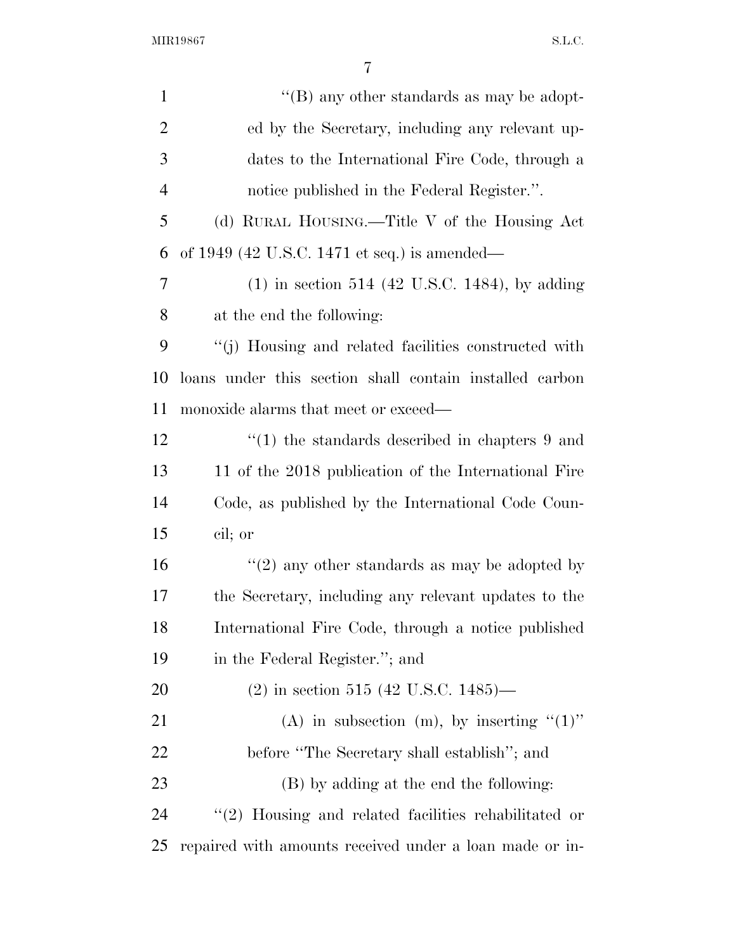| $\mathbf{1}$   | "(B) any other standards as may be adopt-                |
|----------------|----------------------------------------------------------|
| $\overline{2}$ | ed by the Secretary, including any relevant up-          |
| 3              | dates to the International Fire Code, through a          |
| $\overline{4}$ | notice published in the Federal Register.".              |
| 5              | (d) RURAL HOUSING.—Title V of the Housing Act            |
| 6              | of $1949$ (42 U.S.C. 1471 et seq.) is amended—           |
| 7              | $(1)$ in section 514 (42 U.S.C. 1484), by adding         |
| 8              | at the end the following:                                |
| 9              | "(j) Housing and related facilities constructed with     |
| 10             | loans under this section shall contain installed carbon  |
| 11             | monoxide alarms that meet or exceed—                     |
| 12             | $\cdot$ (1) the standards described in chapters 9 and    |
| 13             | 11 of the 2018 publication of the International Fire     |
| 14             | Code, as published by the International Code Coun-       |
| 15             | cil; or                                                  |
| 16             | "(2) any other standards as may be adopted by            |
| 17             | the Secretary, including any relevant updates to the     |
| 18             | International Fire Code, through a notice published      |
| 19             | in the Federal Register."; and                           |
| 20             | $(2)$ in section 515 (42 U.S.C. 1485)—                   |
| 21             | (A) in subsection (m), by inserting $(1)$ "              |
| <u>22</u>      | before "The Secretary shall establish"; and              |
| 23             | (B) by adding at the end the following:                  |
| 24             | $\lq(2)$ Housing and related facilities rehabilitated or |
| 25             | repaired with amounts received under a loan made or in-  |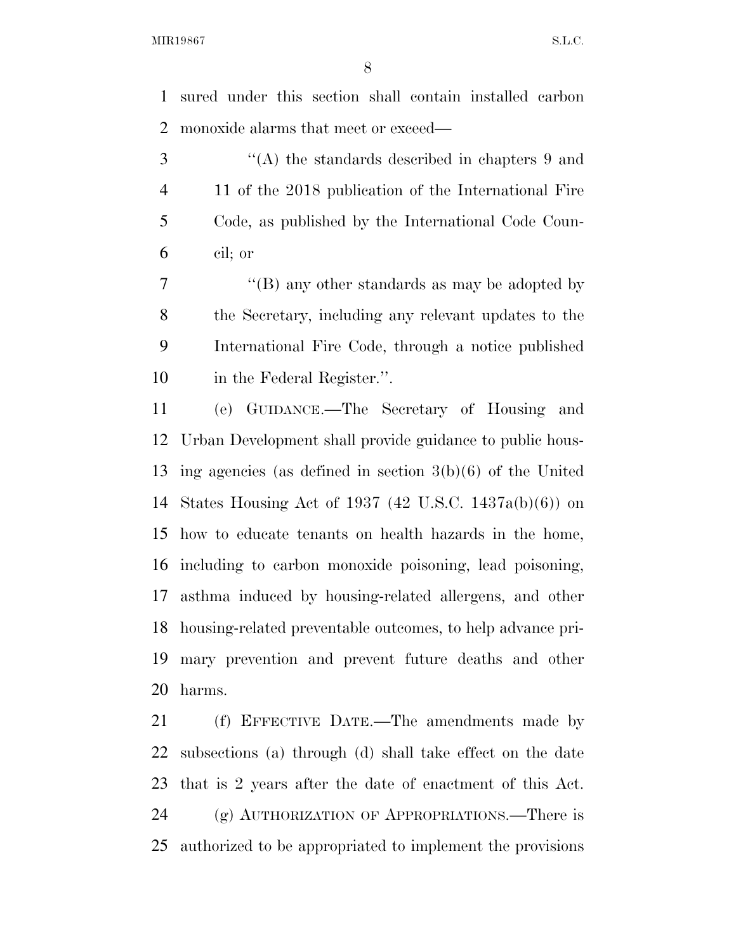sured under this section shall contain installed carbon monoxide alarms that meet or exceed—

 ''(A) the standards described in chapters 9 and 11 of the 2018 publication of the International Fire Code, as published by the International Code Coun-cil; or

7 "'(B) any other standards as may be adopted by the Secretary, including any relevant updates to the International Fire Code, through a notice published in the Federal Register.''.

 (e) GUIDANCE.—The Secretary of Housing and Urban Development shall provide guidance to public hous- ing agencies (as defined in section 3(b)(6) of the United States Housing Act of 1937 (42 U.S.C. 1437a(b)(6)) on how to educate tenants on health hazards in the home, including to carbon monoxide poisoning, lead poisoning, asthma induced by housing-related allergens, and other housing-related preventable outcomes, to help advance pri- mary prevention and prevent future deaths and other harms.

 (f) EFFECTIVE DATE.—The amendments made by subsections (a) through (d) shall take effect on the date that is 2 years after the date of enactment of this Act. (g) AUTHORIZATION OF APPROPRIATIONS.—There is authorized to be appropriated to implement the provisions